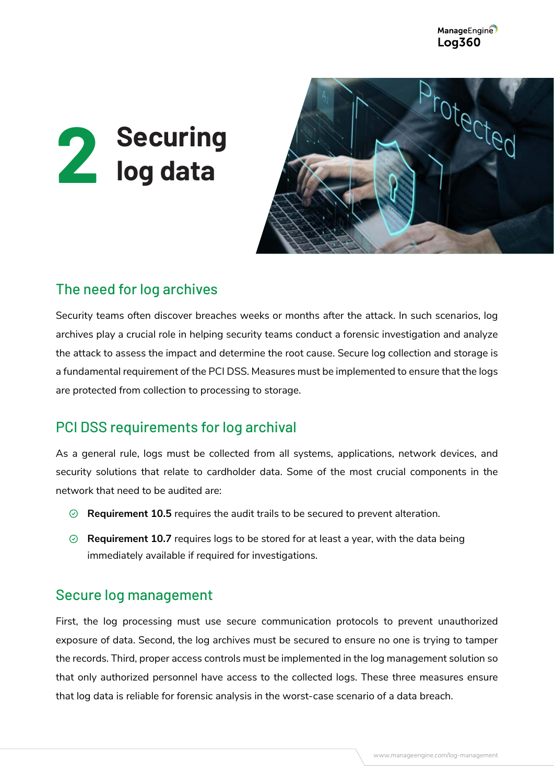ManageEngine **Log360** 





# The need for log archives

Security teams often discover breaches weeks or months after the attack. In such scenarios, log archives play a crucial role in helping security teams conduct a forensic investigation and analyze the attack to assess the impact and determine the root cause. Secure log collection and storage is a fundamental requirement of the PCI DSS. Measures must be implemented to ensure that the logs are protected from collection to processing to storage.

### PCI DSS requirements for log archival

As a general rule, logs must be collected from all systems, applications, network devices, and security solutions that relate to cardholder data. Some of the most crucial components in the network that need to be audited are:

- **Requirement 10.5** requires the audit trails to be secured to prevent alteration.
- **Requirement 10.7** requires logs to be stored for at least a year, with the data being immediately available if required for investigations.

#### Secure log management

First, the log processing must use secure communication protocols to prevent unauthorized exposure of data. Second, the log archives must be secured to ensure no one is trying to tamper the records. Third, proper access controls must be implemented in the log management solution so that only authorized personnel have access to the collected logs. These three measures ensure that log data is reliable for forensic analysis in the worst-case scenario of a data breach.